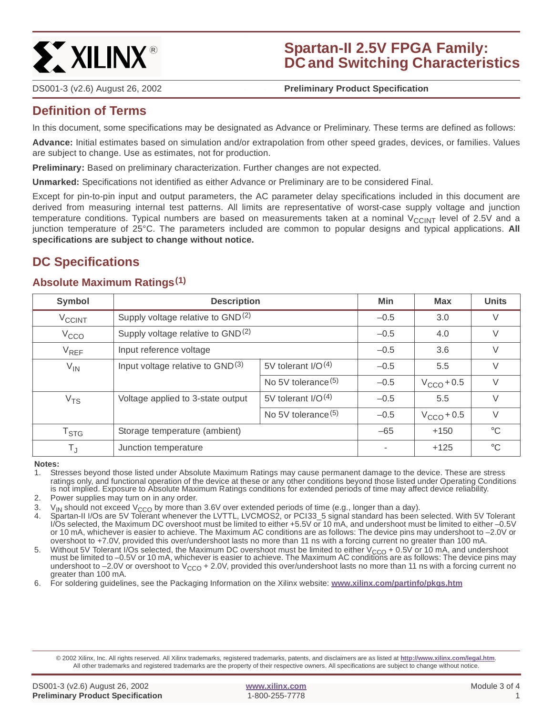

# **Spartan-II 2.5V FPGA Family: DC and Switching Characteristics**

DS001-3 (v2.6) August 26, 2002 **0 0 Preliminary Product Specification**

## **Definition of Terms**

In this document, some specifications may be designated as Advance or Preliminary. These terms are defined as follows:

**Advance:** Initial estimates based on simulation and/or extrapolation from other speed grades, devices, or families. Values are subject to change. Use as estimates, not for production.

**Preliminary:** Based on preliminary characterization. Further changes are not expected.

**Unmarked:** Specifications not identified as either Advance or Preliminary are to be considered Final.

Except for pin-to-pin input and output parameters, the AC parameter delay specifications included in this document are derived from measuring internal test patterns. All limits are representative of worst-case supply voltage and junction temperature conditions. Typical numbers are based on measurements taken at a nominal  $V_{CClNT}$  level of 2.5V and a junction temperature of 25°C. The parameters included are common to popular designs and typical applications. **All specifications are subject to change without notice.**

## **DC Specifications**

## **Absolute Maximum Ratings(1)**

| Symbol             | <b>Description</b>                            |                       | <b>Min</b> | <b>Max</b>      | <b>Units</b> |
|--------------------|-----------------------------------------------|-----------------------|------------|-----------------|--------------|
| V <sub>CCINT</sub> | Supply voltage relative to GND <sup>(2)</sup> |                       | $-0.5$     | 3.0             | V            |
| V <sub>CCO</sub>   | Supply voltage relative to GND <sup>(2)</sup> |                       | $-0.5$     | 4.0             | $\vee$       |
| $V_{REF}$          | Input reference voltage                       |                       | $-0.5$     | 3.6             | V            |
| $V_{IN}$           | Input voltage relative to GND(3)              | 5V tolerant $I/O(4)$  | $-0.5$     | 5.5             | $\vee$       |
|                    |                                               | No 5V tolerance $(5)$ | $-0.5$     | $V_{CCO}$ + 0.5 | $\vee$       |
| V <sub>TS</sub>    | Voltage applied to 3-state output             | 5V tolerant $I/O(4)$  | $-0.5$     | 5.5             | V            |
|                    |                                               | No 5V tolerance $(5)$ | $-0.5$     | $V_{CCO}$ + 0.5 | $\vee$       |
| $T_{\mathsf{STG}}$ | Storage temperature (ambient)                 |                       | $-65$      | $+150$          | $^{\circ}C$  |
| $T_{\text{J}}$     | Junction temperature                          |                       |            | $+125$          | $^{\circ}C$  |

**Notes:**

1. Stresses beyond those listed under Absolute Maximum Ratings may cause permanent damage to the device. These are stress ratings only, and functional operation of the device at these or any other conditions beyond those listed under Operating Conditions is not implied. Exposure to Absolute Maximum Ratings conditions for extended periods of time may affect device reliability.

2. Power supplies may turn on in any order.

3. V<sub>IN</sub> should not exceed V<sub>CCO</sub> by more than 3.6V over extended periods of time (e.g., longer than a day).<br>4. Spartan-ILI/Os are 5V Tolerant whenever the LVTTL LVCMOS2, or PCL33, 5 signal standard has been

4. Spartan-II I/Os are 5V Tolerant whenever the LVTTL, LVCMOS2, or PCI33\_5 signal standard has been selected. With 5V Tolerant I/Os selected, the Maximum DC overshoot must be limited to either +5.5V or 10 mA, and undershoot must be limited to either –0.5V or 10 mA, whichever is easier to achieve. The Maximum AC conditions are as follows: The device pins may undershoot to –2.0V or overshoot to +7.0V, provided this over/undershoot lasts no more than 11 ns with a forcing current no greater than 100 mA.

5. Without 5V Tolerant I/Os selected, the Maximum DC overshoot must be limited to either  $V_{CCO}$  + 0.5V or 10 mA, and undershoot must be limited to –0.5V or 10 mA, whichever is easier to achieve. The Maximum AC conditions are as follows: The device pins may undershoot to  $-2.0V$  or overshoot to  $V_{CCO}$  + 2.0V, provided this over/undershoot lasts no more than 11 ns with a forcing current no greater than 100 mA.

6. For soldering guidelines, see the Packaging Information on the Xilinx website: **[www.xilinx.com/partinfo/pkgs.htm](http://www.xilinx.com/partinfo/pkgs.htm)**

© 2002 Xilinx, Inc. All rights reserved. All Xilinx trademarks, registered trademarks, patents, and disclaimers are as listed at **<http://www.xilinx.com/legal.htm>**. All other trademarks and registered trademarks are the property of their respective owners. All specifications are subject to change without notice.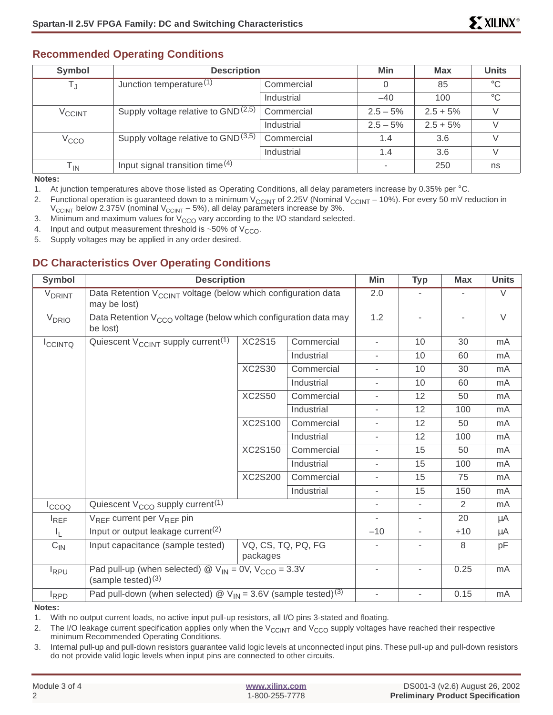### **Recommended Operating Conditions**

| Symbol                     | <b>Description</b>                       |            | Min                      | <b>Max</b> | <b>Units</b> |
|----------------------------|------------------------------------------|------------|--------------------------|------------|--------------|
| T,                         | Junction temperature $(1)$               | Commercial | 0                        | 85         | $^{\circ}C$  |
|                            |                                          | Industrial | $-40$                    | 100        | $^{\circ}C$  |
| <b>V<sub>CCINT</sub></b>   | Supply voltage relative to $GND^{(2,5)}$ | Commercial | $2.5 - 5%$               | $2.5 + 5%$ |              |
|                            |                                          | Industrial | $2.5 - 5%$               | $2.5 + 5%$ |              |
| V <sub>CCO</sub>           | Supply voltage relative to $GND^{(3,5)}$ | Commercial | 1.4                      | 3.6        |              |
|                            |                                          | Industrial | 1.4                      | 3.6        |              |
| $\mathsf{T}_{\mathsf{IN}}$ | Input signal transition time $(4)$       |            | $\overline{\phantom{a}}$ | 250        | ns           |

**Notes:**

1. At junction temperatures above those listed as Operating Conditions, all delay parameters increase by 0.35% per °C.

2. Functional operation is guaranteed down to a minimum V<sub>CCINT</sub> of 2.25V (Nominal V<sub>CCINT</sub> – 10%). For every 50 mV reduction in  $V_{\text{CCINT}}$  below 2.375V (nominal  $V_{\text{CCINT}}$  – 5%), all delay parameters increase by 3%.

3. Minimum and maximum values for  $V_{CCO}$  vary according to the I/O standard selected.

4. Input and output measurement threshold is  $\sim$  50% of V<sub>CCO</sub>.

5. Supply voltages may be applied in any order desired.

## **DC Characteristics Over Operating Conditions**

| Symbol                   | <b>Description</b>                                                                                                   |                                |            | Min                      | <b>Typ</b>               | <b>Max</b>               | <b>Units</b> |
|--------------------------|----------------------------------------------------------------------------------------------------------------------|--------------------------------|------------|--------------------------|--------------------------|--------------------------|--------------|
| <b>V<sub>DRINT</sub></b> | Data Retention V <sub>CCINT</sub> voltage (below which configuration data<br>may be lost)                            |                                |            | 2.0                      |                          |                          | $\vee$       |
| V <sub>DRIO</sub>        | Data Retention V <sub>CCO</sub> voltage (below which configuration data may<br>be lost)                              |                                |            | 1.2                      | $\overline{\phantom{a}}$ | $\overline{\phantom{a}}$ | $\vee$       |
| <b>ICCINTQ</b>           | Quiescent $V_{\text{CCINT}}$ supply current <sup>(1)</sup>                                                           | <b>XC2S15</b>                  | Commercial | $\frac{1}{2}$            | 10                       | 30                       | mA           |
|                          |                                                                                                                      |                                | Industrial | $\overline{\phantom{a}}$ | 10                       | 60                       | mA           |
|                          |                                                                                                                      | <b>XC2S30</b>                  | Commercial | ٠                        | 10                       | 30                       | mA           |
|                          |                                                                                                                      |                                | Industrial | ٠                        | 10                       | 60                       | mA           |
|                          |                                                                                                                      | <b>XC2S50</b>                  | Commercial | ÷                        | 12                       | 50                       | mA           |
|                          |                                                                                                                      |                                | Industrial | ٠                        | 12                       | 100                      | mA           |
|                          | <b>XC2S100</b>                                                                                                       |                                | Commercial | ٠                        | 12                       | 50                       | mA           |
|                          |                                                                                                                      |                                | Industrial | ÷                        | 12                       | 100                      | mA           |
|                          |                                                                                                                      | <b>XC2S150</b>                 | Commercial | $\overline{\phantom{a}}$ | 15                       | 50                       | mA           |
|                          |                                                                                                                      |                                | Industrial | $\overline{\phantom{a}}$ | 15                       | 100                      | mA           |
|                          |                                                                                                                      | <b>XC2S200</b>                 | Commercial | $\overline{\phantom{a}}$ | 15                       | 75                       | mA           |
|                          |                                                                                                                      |                                | Industrial | $\overline{\phantom{a}}$ | 15                       | 150                      | mA           |
| $I_{CCOO}$               | Quiescent $V_{CCO}$ supply current <sup>(1)</sup>                                                                    |                                |            | $\overline{\phantom{a}}$ | $\overline{\phantom{a}}$ | 2                        | mA           |
| $I_{REF}$                | $V_{REF}$ current per $V_{REF}$ pin                                                                                  |                                |            | $\overline{\phantom{a}}$ | $\overline{\phantom{a}}$ | 20                       | $\mu$ A      |
| I <sub>L</sub>           | Input or output leakage current <sup>(2)</sup>                                                                       |                                |            | $-10$                    | $\overline{\phantom{a}}$ | $+10$                    | $\mu$ A      |
| $C_{IN}$                 | Input capacitance (sample tested)                                                                                    | VQ, CS, TQ, PQ, FG<br>packages |            |                          | $\overline{\phantom{0}}$ | 8                        | pF           |
| l <sub>RPU</sub>         | Pad pull-up (when selected) $\textcircled{2}$ V <sub>IN</sub> = 0V, V <sub>CCO</sub> = 3.3V<br>(sample tested) $(3)$ |                                |            | ÷,                       | L,                       | 0.25                     | mA           |
| <b>I</b> RPD             | Pad pull-down (when selected) $\textcircled{2}$ V <sub>IN</sub> = 3.6V (sample tested) <sup>(3)</sup>                |                                |            | $\overline{\phantom{a}}$ | $\overline{\phantom{a}}$ | 0.15                     | mA           |

**Notes:**

1. With no output current loads, no active input pull-up resistors, all I/O pins 3-stated and floating.

2. The I/O leakage current specification applies only when the  $V_{\text{CC}|\text{N}|\text{T}}$  and  $V_{\text{CC}|\text{O}}$  supply voltages have reached their respective minimum Recommended Operating Conditions.

3. Internal pull-up and pull-down resistors guarantee valid logic levels at unconnected input pins. These pull-up and pull-down resistors do not provide valid logic levels when input pins are connected to other circuits.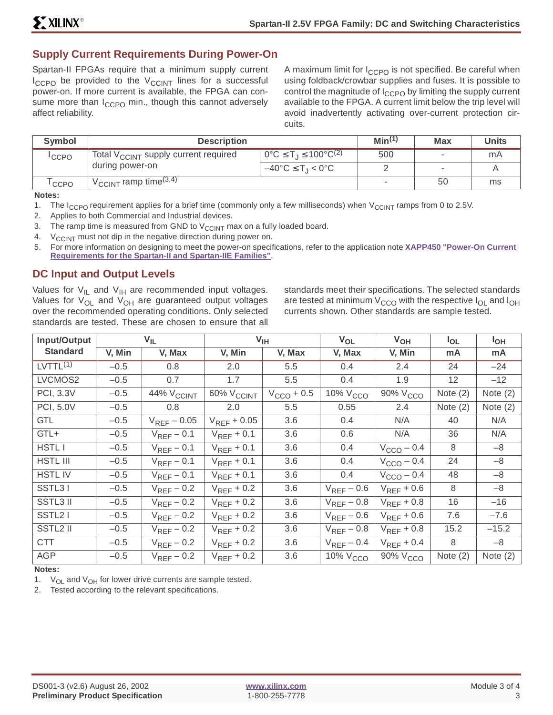## **Supply Current Requirements During Power-On**

Spartan-II FPGAs require that a minimum supply current  $I_{CCPO}$  be provided to the  $V_{CCINT}$  lines for a successful power-on. If more current is available, the FPGA can consume more than  $I_{CCPO}$  min., though this cannot adversely affect reliability.

A maximum limit for  $I_{CCPO}$  is not specified. Be careful when using foldback/crowbar supplies and fuses. It is possible to control the magnitude of  $I_{CCPO}$  by limiting the supply current available to the FPGA. A current limit below the trip level will avoid inadvertently activating over-current protection circuits.

| Symbol            | <b>Description</b>                                                                                      |                                                        | Min <sup>(1)</sup> | <b>Max</b>               | <b>Units</b> |
|-------------------|---------------------------------------------------------------------------------------------------------|--------------------------------------------------------|--------------------|--------------------------|--------------|
| <sup>I</sup> CCPO | Total V <sub>CCINT</sub> supply current required                                                        | $^{\circ}$ 0°C ≤ T <sub>⊥</sub> ≤ 100°C <sup>(2)</sup> | 500                |                          | mA           |
|                   | during power-on                                                                                         | $-40^{\circ}$ C $\leq$ T <sub>-1</sub> < 0°C           |                    | $\overline{\phantom{a}}$ |              |
| CCPO              | $\sqrt{\frac{1}{2} \cdot \frac{1}{2} \cdot \frac{1}{2} \cdot \frac{1}{2}}$ ramp time $(3,\overline{4})$ |                                                        |                    | 50                       | ms           |

**Notes:**

- 1. The I<sub>CCPO</sub> requirement applies for a brief time (commonly only a few milliseconds) when  $V_{\text{CCINT}}$  ramps from 0 to 2.5V.
- 2. Applies to both Commercial and Industrial devices.
- 3. The ramp time is measured from GND to  $V_{\text{CCINT}}$  max on a fully loaded board.
- 4.  $V_{\text{CCINT}}$  must not dip in the negative direction during power on.
- 5. For more information on designing to meet the power-on specifications, refer to the application note **[XAPP450 "Power-On Current](http://www.xilinx.com/xapp/xapp450.pdf) [Requirements for the Spartan-II and Spartan-IIE Families"](http://www.xilinx.com/xapp/xapp450.pdf)**.

### **DC Input and Output Levels**

Values for  $V_{II}$  and  $V_{IH}$  are recommended input voltages. Values for  $V_{OL}$  and  $V_{OH}$  are guaranteed output voltages over the recommended operating conditions. Only selected standards are tested. These are chosen to ensure that all

standards meet their specifications. The selected standards are tested at minimum  $V_{CCO}$  with the respective  $I_{OI}$  and  $I_{OH}$ currents shown. Other standards are sample tested.

| Input/Output         |        | $V_{IL}$               |                        | V <sub>IH</sub>        | V <sub>OL</sub>      | $V_{OH}$               | $I_{OL}$   | l <sub>OH</sub> |
|----------------------|--------|------------------------|------------------------|------------------------|----------------------|------------------------|------------|-----------------|
| <b>Standard</b>      | V, Min | V, Max                 | V, Min                 | V, Max                 | V, Max               | V, Min                 | mA         | mA              |
| LVTTL <sup>(1)</sup> | $-0.5$ | 0.8                    | 2.0                    | 5.5                    | 0.4                  | 2.4                    | 24         | $-24$           |
| LVCMOS2              | $-0.5$ | 0.7                    | 1.7                    | 5.5                    | 0.4                  | 1.9                    | 12         | $-12$           |
| PCI, 3.3V            | $-0.5$ | 44% V <sub>CCINT</sub> | 60% V <sub>CCINT</sub> | $V_{\text{CCO}} + 0.5$ | 10% V <sub>CCO</sub> | 90% V <sub>CCO</sub>   | Note $(2)$ | Note $(2)$      |
| PCI, 5.0V            | $-0.5$ | 0.8                    | 2.0                    | 5.5                    | 0.55                 | 2.4                    | Note $(2)$ | Note $(2)$      |
| <b>GTL</b>           | $-0.5$ | $V_{REF}$ – 0.05       | $V_{REF} + 0.05$       | 3.6                    | 0.4                  | N/A                    | 40         | N/A             |
| GTL+                 | $-0.5$ | $V_{REF}$ – 0.1        | $V_{REF}$ + 0.1        | 3.6                    | 0.6                  | N/A                    | 36         | N/A             |
| <b>HSTLI</b>         | $-0.5$ | $V_{REF}$ – 0.1        | $V_{REF}$ + 0.1        | 3.6                    | 0.4                  | $V_{\text{CCO}} - 0.4$ | 8          | $-8$            |
| <b>HSTL III</b>      | $-0.5$ | $V_{REF}$ – 0.1        | $V_{REF}$ + 0.1        | 3.6                    | 0.4                  | $V_{\text{CCO}} - 0.4$ | 24         | $-8$            |
| <b>HSTLIV</b>        | $-0.5$ | $V_{REF}$ – 0.1        | $V_{RFF}$ + 0.1        | 3.6                    | 0.4                  | $V_{\text{CCO}} - 0.4$ | 48         | $-8$            |
| SSTL31               | $-0.5$ | $V_{REF}$ – 0.2        | $V_{RFF}$ + 0.2        | 3.6                    | $V_{REF}$ – 0.6      | $V_{REF}$ + 0.6        | 8          | $-8$            |
| SSTL3 II             | $-0.5$ | $V_{REF}$ – 0.2        | $V_{REF}$ + 0.2        | 3.6                    | $V_{REF}$ – 0.8      | $V_{REF}$ + 0.8        | 16         | $-16$           |
| SSTL <sub>2</sub> I  | $-0.5$ | $V_{REF}$ – 0.2        | $V_{REF}$ + 0.2        | 3.6                    | $V_{REF}$ – 0.6      | $V_{REF}$ + 0.6        | 7.6        | $-7.6$          |
| SSTL2 II             | $-0.5$ | $V_{REF}$ – 0.2        | $V_{REF}$ + 0.2        | 3.6                    | $V_{REF}$ – 0.8      | $V_{REF}$ + 0.8        | 15.2       | $-15.2$         |
| <b>CTT</b>           | $-0.5$ | $V_{REF}$ – 0.2        | $V_{REF}$ + 0.2        | 3.6                    | $V_{REF}$ – 0.4      | $V_{REF}$ + 0.4        | 8          | $-8$            |
| <b>AGP</b>           | $-0.5$ | $V_{REF}$ – 0.2        | $V_{REF}$ + 0.2        | 3.6                    | $10\%$ $VCCO$        | 90% V <sub>CCO</sub>   | Note $(2)$ | Note $(2)$      |

#### **Notes:**

1.  $V_{OL}$  and  $V_{OH}$  for lower drive currents are sample tested.

2. Tested according to the relevant specifications.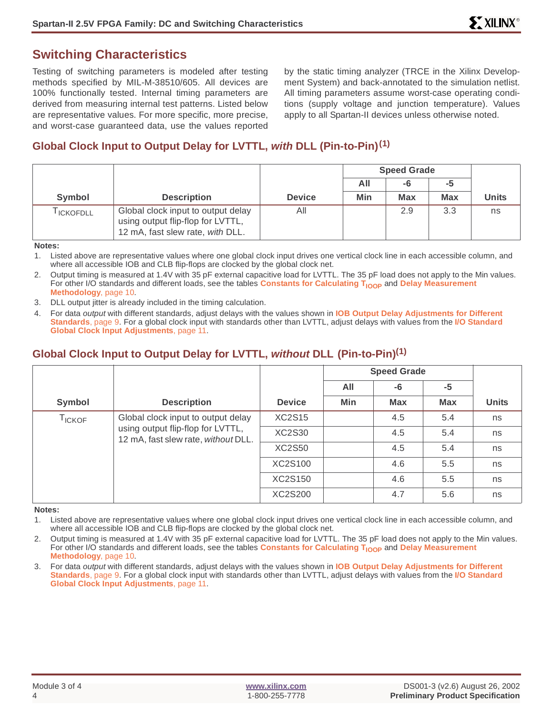## **Switching Characteristics**

Testing of switching parameters is modeled after testing methods specified by MIL-M-38510/605. All devices are 100% functionally tested. Internal timing parameters are derived from measuring internal test patterns. Listed below are representative values. For more specific, more precise, and worst-case guaranteed data, use the values reported by the static timing analyzer (TRCE in the Xilinx Development System) and back-annotated to the simulation netlist. All timing parameters assume worst-case operating conditions (supply voltage and junction temperature). Values apply to all Spartan-II devices unless otherwise noted.

## **Global Clock Input to Output Delay for LVTTL, with DLL (Pin-to-Pin)(1)**

|            |                                                                                                             |               | <b>Speed Grade</b> |            |            |              |
|------------|-------------------------------------------------------------------------------------------------------------|---------------|--------------------|------------|------------|--------------|
|            |                                                                                                             |               | All                | -6         | -5         |              |
| Symbol     | <b>Description</b>                                                                                          | <b>Device</b> | Min                | <b>Max</b> | <b>Max</b> | <b>Units</b> |
| I ICKOFDLL | Global clock input to output delay<br>using output flip-flop for LVTTL,<br>12 mA, fast slew rate, with DLL. | All           |                    | 2.9        | 3.3        | ns           |

**Notes:**

1. Listed above are representative values where one global clock input drives one vertical clock line in each accessible column, and where all accessible IOB and CLB flip-flops are clocked by the global clock net.

2. Output timing is measured at 1.4V with 35 pF external capacitive load for LVTTL. The 35 pF load does not apply to the Min values. For other I/O standards and different loads, see the tables **Constants for Calculating T<sub>IOOP</sub>** and **[Delay Measurement](#page-9-1) [Methodology](#page-9-1)**, page 10.

- DLL output jitter is already included in the timing calculation.
- 4. For data output with different standards, adjust delays with the values shown in **[IOB Output Delay Adjustments for Different](#page-8-0) [Standards](#page-8-0)**, page 9. For a global clock input with standards other than LVTTL, adjust delays with values from the **[I/O Standard](#page-10-0) [Global Clock Input Adjustments](#page-10-0)**, page 11.

## **Global Clock Input to Output Delay for LVTTL, without DLL (Pin-to-Pin)(1)**

|               |                                                                                                                |               | <b>Speed Grade</b> |            |            |              |
|---------------|----------------------------------------------------------------------------------------------------------------|---------------|--------------------|------------|------------|--------------|
|               |                                                                                                                |               | All                | -6         | -5         |              |
| Symbol        | <b>Description</b>                                                                                             | <b>Device</b> | Min                | <b>Max</b> | <b>Max</b> | <b>Units</b> |
| <b>TICKOF</b> | Global clock input to output delay<br>using output flip-flop for LVTTL,<br>12 mA, fast slew rate, without DLL. | <b>XC2S15</b> |                    | 4.5        | 5.4        | ns           |
|               |                                                                                                                | XC2S30        |                    | 4.5        | 5.4        | ns           |
|               |                                                                                                                | <b>XC2S50</b> |                    | 4.5        | 5.4        | ns           |
|               |                                                                                                                | XC2S100       |                    | 4.6        | 5.5        | ns           |
|               |                                                                                                                | XC2S150       |                    | 4.6        | 5.5        | ns           |
|               |                                                                                                                | XC2S200       |                    | 4.7        | 5.6        | ns           |

**Notes:**

1. Listed above are representative values where one global clock input drives one vertical clock line in each accessible column, and where all accessible IOB and CLB flip-flops are clocked by the global clock net.

2. Output timing is measured at 1.4V with 35 pF external capacitive load for LVTTL. The 35 pF load does not apply to the Min values. For other I/O standards and different loads, see the tables **Constants for Calculating T<sub>IOOP</sub> and [Delay Measurement](#page-9-1) [Methodology](#page-9-1)**, page 10.

3. For data output with different standards, adjust delays with the values shown in **[IOB Output Delay Adjustments for Different](#page-8-0) [Standards](#page-8-0)**, page 9. For a global clock input with standards other than LVTTL, adjust delays with values from the **[I/O Standard](#page-10-0) [Global Clock Input Adjustments](#page-10-0)**, page 11.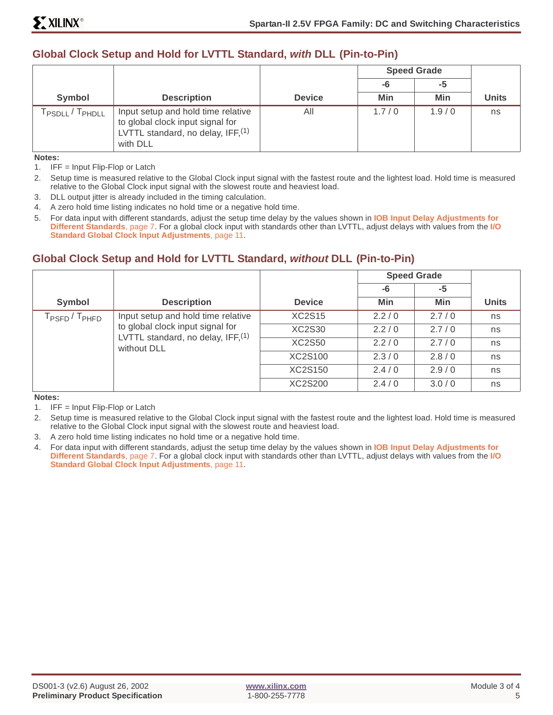## **Global Clock Setup and Hold for LVTTL Standard, with DLL (Pin-to-Pin)**

|                                          |                                                                                                                            |               | <b>Speed Grade</b><br>-6<br>-5 |       |              |
|------------------------------------------|----------------------------------------------------------------------------------------------------------------------------|---------------|--------------------------------|-------|--------------|
|                                          |                                                                                                                            |               |                                |       |              |
| Symbol                                   | <b>Description</b>                                                                                                         | <b>Device</b> | Min                            | Min   | <b>Units</b> |
| T <sub>PHDLL</sub><br>PSDLL <sup>/</sup> | Input setup and hold time relative<br>to global clock input signal for<br>LVTTL standard, no delay, IFF, $(1)$<br>with DLL | All           | 1.7/0                          | 1.9/0 | ns           |

**Notes:**

1. IFF = Input Flip-Flop or Latch

2. Setup time is measured relative to the Global Clock input signal with the fastest route and the lightest load. Hold time is measured relative to the Global Clock input signal with the slowest route and heaviest load.

3. DLL output jitter is already included in the timing calculation.

4. A zero hold time listing indicates no hold time or a negative hold time.

5. For data input with different standards, adjust the setup time delay by the values shown in **[IOB Input Delay Adjustments for](#page-6-0) [Different Standards](#page-6-0)**, page 7. For a global clock input with standards other than LVTTL, adjust delays with values from the **[I/O](#page-10-0) [Standard Global Clock Input Adjustments](#page-10-0)**, page 11.

## **Global Clock Setup and Hold for LVTTL Standard, without DLL (Pin-to-Pin)**

|                                       |                                                    |               | <b>Speed Grade</b> |       |              |
|---------------------------------------|----------------------------------------------------|---------------|--------------------|-------|--------------|
|                                       |                                                    |               | $-6$               | -5    |              |
| Symbol                                | <b>Description</b>                                 | <b>Device</b> | <b>Min</b>         | Min   | <b>Units</b> |
| T <sub>PSFD</sub> / T <sub>PHFD</sub> | Input setup and hold time relative                 | <b>XC2S15</b> | 2.2/0              | 2.7/0 | ns           |
|                                       | to global clock input signal for                   | XC2S30        | 2.2/0              | 2.7/0 | ns           |
|                                       | LVTTL standard, no delay, $IFF1(1)$<br>without DLL | <b>XC2S50</b> | 2.2/0              | 2.7/0 | ns           |
|                                       |                                                    | XC2S100       | 2.3/0              | 2.8/0 | ns           |
|                                       |                                                    | XC2S150       | 2.4/0              | 2.9/0 | ns           |
|                                       |                                                    | XC2S200       | 2.4/0              | 3.0/0 | ns           |

**Notes:**

1. IFF = Input Flip-Flop or Latch

2. Setup time is measured relative to the Global Clock input signal with the fastest route and the lightest load. Hold time is measured relative to the Global Clock input signal with the slowest route and heaviest load.

- 3. A zero hold time listing indicates no hold time or a negative hold time.
- 4. For data input with different standards, adjust the setup time delay by the values shown in **[IOB Input Delay Adjustments for](#page-6-0) [Different Standards](#page-6-0)**, page 7. For a global clock input with standards other than LVTTL, adjust delays with values from the **[I/O](#page-10-0) [Standard Global Clock Input Adjustments](#page-10-0)**, page 11.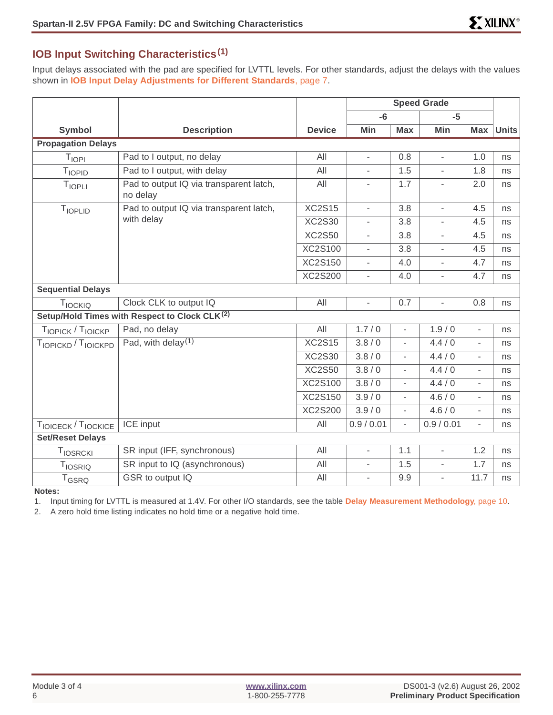# **IOB Input Switching Characteristics(1)**

Input delays associated with the pad are specified for LVTTL levels. For other standards, adjust the delays with the values shown in **[IOB Input Delay Adjustments for Different Standards](#page-6-0)**, page 7.

|                           |                                                           |                | <b>Speed Grade</b>       |                          |                          |                          |              |
|---------------------------|-----------------------------------------------------------|----------------|--------------------------|--------------------------|--------------------------|--------------------------|--------------|
|                           |                                                           |                | $-6$                     |                          | $-5$                     |                          |              |
| <b>Symbol</b>             | <b>Description</b>                                        | <b>Device</b>  | Min                      | <b>Max</b>               | Min                      | Max                      | <b>Units</b> |
| <b>Propagation Delays</b> |                                                           |                |                          |                          |                          |                          |              |
| $T_{\rm IOPI}$            | Pad to I output, no delay                                 | All            | $\blacksquare$           | 0.8                      | $\overline{\phantom{a}}$ | 1.0                      | ns           |
| TIOPID                    | Pad to I output, with delay                               | All            | $\overline{\phantom{a}}$ | 1.5                      | $\overline{\phantom{a}}$ | 1.8                      | ns           |
| T <sub>IOPLI</sub>        | Pad to output IQ via transparent latch,<br>no delay       | All            | $\overline{\phantom{0}}$ | 1.7                      | $\overline{\phantom{0}}$ | 2.0                      | ns           |
| TIOPLID                   | Pad to output IQ via transparent latch,                   | <b>XC2S15</b>  | $\blacksquare$           | 3.8                      | $\overline{\phantom{a}}$ | 4.5                      | ns           |
|                           | with delay                                                | <b>XC2S30</b>  | $\overline{a}$           | 3.8                      | $\overline{a}$           | 4.5                      | ns           |
|                           |                                                           | <b>XC2S50</b>  | $\overline{a}$           | 3.8                      | ÷.                       | 4.5                      | ns           |
|                           |                                                           | XC2S100        | $\overline{\phantom{a}}$ | 3.8                      | $\overline{\phantom{a}}$ | 4.5                      | ns           |
|                           |                                                           | <b>XC2S150</b> | $\overline{a}$           | 4.0                      |                          | 4.7                      | ns           |
|                           |                                                           | XC2S200        | $\overline{\phantom{a}}$ | 4.0                      | $\overline{a}$           | 4.7                      | ns           |
| <b>Sequential Delays</b>  |                                                           |                |                          |                          |                          |                          |              |
| TIOCKIQ                   | Clock CLK to output IQ                                    | All            | $\overline{a}$           | 0.7                      | $\overline{\phantom{0}}$ | 0.8                      | ns           |
|                           | Setup/Hold Times with Respect to Clock CLK <sup>(2)</sup> |                |                          |                          |                          |                          |              |
| TIOPICK / TIOICKP         | Pad, no delay                                             | All            | 1.7/0                    | ÷,                       | 1.9/0                    | $\overline{\phantom{a}}$ | ns           |
| TIOPICKD / TIOICKPD       | Pad, with delay $(1)$                                     | <b>XC2S15</b>  | 3.8/0                    | $\overline{\phantom{0}}$ | 4.4/0                    | $\overline{\phantom{a}}$ | ns           |
|                           |                                                           | <b>XC2S30</b>  | 3.8/0                    | $\overline{\phantom{0}}$ | 4.4/0                    | $\overline{\phantom{a}}$ | ns           |
|                           |                                                           | <b>XC2S50</b>  | 3.8/0                    | $\overline{\phantom{0}}$ | 4.4/0                    | $\overline{\phantom{a}}$ | ns           |
|                           |                                                           | XC2S100        | 3.8/0                    | ÷,                       | 4.4/0                    | $\overline{\phantom{a}}$ | ns           |
|                           |                                                           | <b>XC2S150</b> | 3.9/0                    | $\overline{\phantom{0}}$ | 4.6/0                    | $\overline{\phantom{a}}$ | ns           |
|                           |                                                           | <b>XC2S200</b> | 3.9/0                    | ÷.                       | 4.6/0                    | $\overline{\phantom{a}}$ | ns           |
| TIOICECK / TIOCKICE       | <b>ICE</b> input                                          | All            | 0.9 / 0.01               | L.                       | 0.9 / 0.01               | $\overline{\phantom{a}}$ | ns           |
| <b>Set/Reset Delays</b>   |                                                           |                |                          |                          |                          |                          |              |
| TIOSRCKI                  | SR input (IFF, synchronous)                               | All            | $\blacksquare$           | 1.1                      | $\overline{\phantom{a}}$ | 1.2                      | ns           |
| <b>TIOSRIQ</b>            | SR input to IQ (asynchronous)                             | All            |                          | 1.5                      |                          | 1.7                      | ns           |
| T <sub>GSRQ</sub>         | GSR to output IQ                                          | All            | $\overline{a}$           | 9.9                      | ÷.                       | 11.7                     | ns           |

**Notes:**

1. Input timing for LVTTL is measured at 1.4V. For other I/O standards, see the table **[Delay Measurement Methodology](#page-9-1)**, page 10.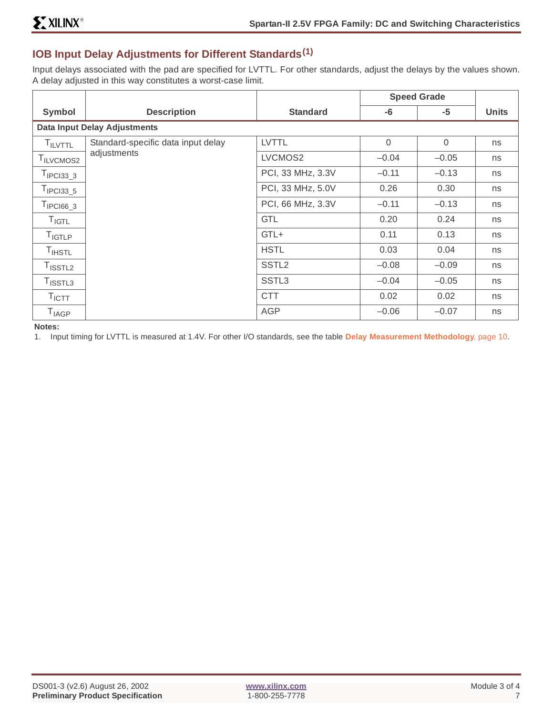## <span id="page-6-0"></span>**IOB Input Delay Adjustments for Different Standards(1)**

Input delays associated with the pad are specified for LVTTL. For other standards, adjust the delays by the values shown. A delay adjusted in this way constitutes a worst-case limit.

|                                     |                                    |                   | <b>Speed Grade</b> |          |              |  |  |  |
|-------------------------------------|------------------------------------|-------------------|--------------------|----------|--------------|--|--|--|
| Symbol                              | <b>Description</b>                 | <b>Standard</b>   | $-6$               | $-5$     | <b>Units</b> |  |  |  |
| <b>Data Input Delay Adjustments</b> |                                    |                   |                    |          |              |  |  |  |
| <b>TILVTTL</b>                      | Standard-specific data input delay | <b>LVTTL</b>      | $\Omega$           | $\Omega$ | ns           |  |  |  |
| I ILVCMOS2                          | adjustments                        | LVCMOS2           | $-0.04$            | $-0.05$  | ns           |  |  |  |
| $TIPCI33_3$                         |                                    | PCI, 33 MHz, 3.3V | $-0.11$            | $-0.13$  | ns           |  |  |  |
| $T_{IPCI33\_5}$                     |                                    | PCI, 33 MHz, 5.0V | 0.26               | 0.30     | ns           |  |  |  |
| $TIPCI66_3$                         |                                    | PCI, 66 MHz, 3.3V | $-0.11$            | $-0.13$  | ns           |  |  |  |
| $T_{IGTL}$                          |                                    | <b>GTL</b>        | 0.20               | 0.24     | ns           |  |  |  |
| <b>T<sub>IGTLP</sub></b>            |                                    | GTL+              | 0.11               | 0.13     | ns           |  |  |  |
| $T_{\sf{IHSTL}}$                    |                                    | <b>HSTL</b>       | 0.03               | 0.04     | ns           |  |  |  |
| $T_{\textsf{ISSTL2}}$               |                                    | SSTL <sub>2</sub> | $-0.08$            | $-0.09$  | ns           |  |  |  |
| $T_{\text{ISSTL3}}$                 |                                    | SSTL <sub>3</sub> | $-0.04$            | $-0.05$  | ns           |  |  |  |
| $T_{\text{ICTT}}$                   |                                    | <b>CTT</b>        | 0.02               | 0.02     | ns           |  |  |  |
| $T_{IAGP}$                          |                                    | <b>AGP</b>        | $-0.06$            | $-0.07$  | ns           |  |  |  |

**Notes:**

1. Input timing for LVTTL is measured at 1.4V. For other I/O standards, see the table **[Delay Measurement Methodology](#page-9-1)**, page 10.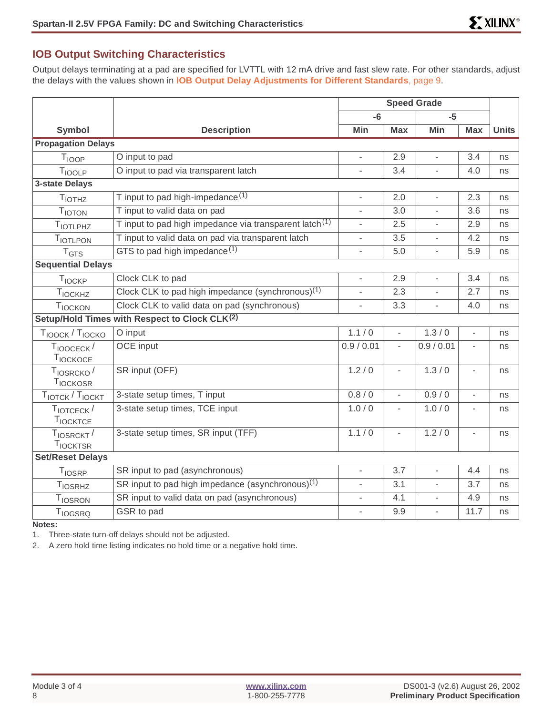## **IOB Output Switching Characteristics**

Output delays terminating at a pad are specified for LVTTL with 12 mA drive and fast slew rate. For other standards, adjust the delays with the values shown in **[IOB Output Delay Adjustments for Different Standards](#page-8-0)**, page 9.

|                                           |                                                                    | <b>Speed Grade</b>       |                          |                          |                          |              |
|-------------------------------------------|--------------------------------------------------------------------|--------------------------|--------------------------|--------------------------|--------------------------|--------------|
|                                           |                                                                    | $-6$                     |                          | $-5$                     |                          |              |
| Symbol                                    | <b>Description</b>                                                 | Min                      | <b>Max</b>               | Min                      | <b>Max</b>               | <b>Units</b> |
| <b>Propagation Delays</b>                 |                                                                    |                          |                          |                          |                          |              |
| T <sub>IOOP</sub>                         | O input to pad                                                     | $\overline{\phantom{a}}$ | 2.9                      | $\overline{\phantom{0}}$ | 3.4                      | ns           |
| TIOOLP                                    | O input to pad via transparent latch                               |                          | 3.4                      |                          | 4.0                      | ns           |
| <b>3-state Delays</b>                     |                                                                    |                          |                          |                          |                          |              |
| <b>TIOTHZ</b>                             | T input to pad high-impedance $(1)$                                | $\overline{\phantom{a}}$ | 2.0                      | $\overline{a}$           | 2.3                      | ns           |
| <b>TIOTON</b>                             | T input to valid data on pad                                       | $\blacksquare$           | 3.0                      | $\overline{\phantom{0}}$ | 3.6                      | ns           |
| TIOTLPHZ                                  | T input to pad high impedance via transparent latch <sup>(1)</sup> | $\overline{\phantom{a}}$ | 2.5                      | $\overline{a}$           | 2.9                      | ns           |
| TIOTLPON                                  | T input to valid data on pad via transparent latch                 |                          | 3.5                      |                          | 4.2                      | ns           |
| T <sub>GTS</sub>                          | GTS to pad high impedance <sup>(1)</sup>                           | $\overline{\phantom{a}}$ | 5.0                      | L,                       | 5.9                      | ns           |
| <b>Sequential Delays</b>                  |                                                                    |                          |                          |                          |                          |              |
| <b>TIOCKP</b>                             | Clock CLK to pad                                                   | $\overline{\phantom{a}}$ | 2.9                      | L,                       | 3.4                      | ns           |
| T <sub>IOCKHZ</sub>                       | Clock CLK to pad high impedance (synchronous) <sup>(1)</sup>       | $\overline{\phantom{a}}$ | 2.3                      | $\overline{\phantom{0}}$ | 2.7                      | ns           |
| <b>TIOCKON</b>                            | Clock CLK to valid data on pad (synchronous)                       |                          | 3.3                      |                          | 4.0                      | ns           |
|                                           | Setup/Hold Times with Respect to Clock CLK <sup>(2)</sup>          |                          |                          |                          |                          |              |
| T <sub>IOOCK</sub> / T <sub>IOCKO</sub>   | O input                                                            | 1.1/0                    | $\overline{\phantom{a}}$ | 1.3/0                    | $\overline{\phantom{a}}$ | ns           |
| $T_{IOOCECK}$ /                           | OCE input                                                          | 0.9 / 0.01               | $\overline{\phantom{a}}$ | 0.9 / 0.01               | $\overline{\phantom{a}}$ | ns           |
| TIOCKOCE                                  |                                                                    |                          |                          |                          |                          |              |
| T <sub>IOSRCKO</sub><br><b>TIOCKOSR</b>   | SR input (OFF)                                                     | 1.2/0                    | $\overline{\phantom{a}}$ | 1.3/0                    | $\overline{\phantom{a}}$ | ns           |
| TIOTCK / TIOCKT                           | 3-state setup times, T input                                       | 0.8/0                    | $\overline{a}$           | 0.9/0                    | $\mathcal{L}$            | ns           |
| $T_{\text{IOTCECK}}/$<br><b>TIOCKTCE</b>  | 3-state setup times, TCE input                                     | 1.0/0                    | $\overline{\phantom{a}}$ | 1.0/0                    | $\overline{\phantom{a}}$ | ns           |
| T <sub>IOSRCKT</sub> /<br><b>TIOCKTSR</b> | 3-state setup times, SR input (TFF)                                | 1.1/0                    | $\overline{\phantom{a}}$ | 1.2/0                    | $\overline{\phantom{a}}$ | ns           |
| <b>Set/Reset Delays</b>                   |                                                                    |                          |                          |                          |                          |              |
| <b>TIOSRP</b>                             | SR input to pad (asynchronous)                                     | $\overline{\phantom{a}}$ | 3.7                      | L,                       | 4.4                      | ns           |
| T <sub>IOSRHZ</sub>                       | SR input to pad high impedance (asynchronous) <sup>(1)</sup>       | $\overline{\phantom{a}}$ | 3.1                      | $\overline{\phantom{a}}$ | 3.7                      | ns           |
| TIOSRON                                   | SR input to valid data on pad (asynchronous)                       |                          | 4.1                      |                          | 4.9                      | ns           |
| T <sub>IOGSRQ</sub>                       | GSR to pad                                                         | $\overline{\phantom{a}}$ | 9.9                      | $\frac{1}{2}$            | 11.7                     | ns           |

**Notes:**

1. Three-state turn-off delays should not be adjusted.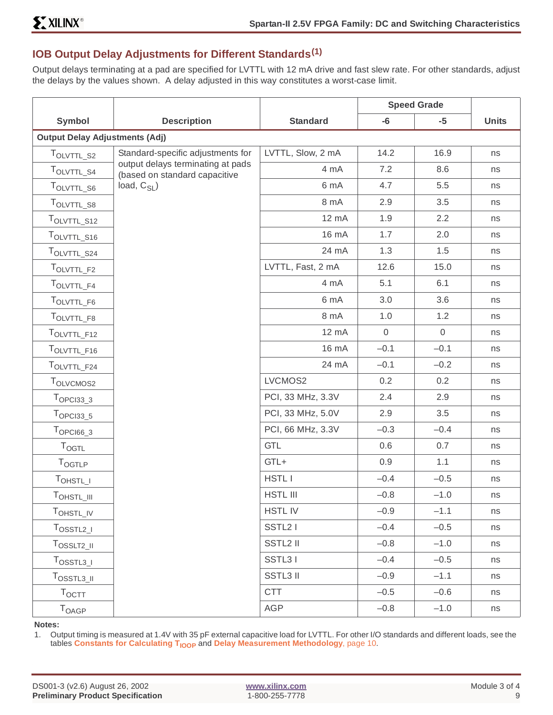# <span id="page-8-0"></span>**IOB Output Delay Adjustments for Different Standards(1)**

Output delays terminating at a pad are specified for LVTTL with 12 mA drive and fast slew rate. For other standards, adjust the delays by the values shown. A delay adjusted in this way constitutes a worst-case limit.

|                                       |                                                                    |                   | <b>Speed Grade</b> |                |              |  |  |  |  |  |
|---------------------------------------|--------------------------------------------------------------------|-------------------|--------------------|----------------|--------------|--|--|--|--|--|
| <b>Symbol</b>                         | <b>Description</b>                                                 | <b>Standard</b>   | $-6$               | $-5$           | <b>Units</b> |  |  |  |  |  |
| <b>Output Delay Adjustments (Adj)</b> |                                                                    |                   |                    |                |              |  |  |  |  |  |
| TOLVTTL_S2                            | Standard-specific adjustments for                                  | LVTTL, Slow, 2 mA | 14.2               | 16.9           | ns           |  |  |  |  |  |
| TOLVTTL_S4                            | output delays terminating at pads<br>(based on standard capacitive | 4 mA              | 7.2                | 8.6            | ns           |  |  |  |  |  |
| TOLVTTL_S6                            | load, $C_{SL}$ )                                                   | 6 mA              | 4.7                | 5.5            | ns           |  |  |  |  |  |
| TOLVTTL_S8                            |                                                                    | 8 mA              | 2.9                | 3.5            | ns           |  |  |  |  |  |
| TOLVTTL_S12                           |                                                                    | 12 mA             | 1.9                | 2.2            | ns           |  |  |  |  |  |
| TOLVTTL_S16                           |                                                                    | 16 mA             | 1.7                | 2.0            | ns           |  |  |  |  |  |
| TOLVTTL_S24                           |                                                                    | 24 mA             | 1.3                | 1.5            | ns           |  |  |  |  |  |
| TOLVTTL_F2                            |                                                                    | LVTTL, Fast, 2 mA | 12.6               | 15.0           | ns           |  |  |  |  |  |
| TOLVTTL_F4                            |                                                                    | 4 mA              | 5.1                | 6.1            | ns           |  |  |  |  |  |
| TOLVTTL_F6                            |                                                                    | 6 mA              | 3.0                | 3.6            | ns           |  |  |  |  |  |
| TOLVTTL_F8                            |                                                                    | 8 mA              | 1.0                | 1.2            | ns           |  |  |  |  |  |
| TOLVTTL_F12                           |                                                                    | 12 mA             | $\overline{0}$     | $\overline{0}$ | ns           |  |  |  |  |  |
| TOLVTTL_F16                           |                                                                    | 16 mA             | $-0.1$             | $-0.1$         | ns           |  |  |  |  |  |
| TOLVTTL_F24                           |                                                                    | 24 mA             | $-0.1$             | $-0.2$         | ns           |  |  |  |  |  |
| TOLVCMOS2                             |                                                                    | LVCMOS2           | 0.2                | 0.2            | ns           |  |  |  |  |  |
| $TOPCI33_3$                           |                                                                    | PCI, 33 MHz, 3.3V | 2.4                | 2.9            | ns           |  |  |  |  |  |
| $T_{OPC133\_5}$                       |                                                                    | PCI, 33 MHz, 5.0V | 2.9                | 3.5            | ns           |  |  |  |  |  |
| $T$ OPCI66_3                          |                                                                    | PCI, 66 MHz, 3.3V | $-0.3$             | $-0.4$         | ns           |  |  |  |  |  |
| <b>TOGTL</b>                          |                                                                    | <b>GTL</b>        | 0.6                | 0.7            | ns           |  |  |  |  |  |
| TOGTLP                                |                                                                    | GTL+              | 0.9                | 1.1            | ns           |  |  |  |  |  |
| TOHSTL_I                              |                                                                    | <b>HSTLI</b>      | $-0.4$             | $-0.5$         | ns           |  |  |  |  |  |
| $T_{\text{OHSTL}\_III}$               |                                                                    | <b>HSTL III</b>   | $-0.8$             | $-1.0$         | ns           |  |  |  |  |  |
| TOHSTL_IV                             |                                                                    | <b>HSTLIV</b>     | $-0.9$             | $-1.1$         | ns           |  |  |  |  |  |
| $T_{\text{OSSTL2\_I}}$                |                                                                    | SSTL2 I           | $-0.4$             | $-0.5$         | ns           |  |  |  |  |  |
| $T_{OSSLT2\_II}$                      |                                                                    | SSTL2 II          | $-0.8$             | $-1.0$         | ns           |  |  |  |  |  |
| $T_{\text{OSSTL3\_I}}$                |                                                                    | SSTL31            | $-0.4$             | $-0.5$         | ns           |  |  |  |  |  |
| TOSSTL3_II                            |                                                                    | <b>SSTL3 II</b>   | $-0.9$             | $-1.1$         | ns           |  |  |  |  |  |
| $T_{\text{OCTT}}$                     |                                                                    | <b>CTT</b>        | $-0.5$             | $-0.6$         | ns           |  |  |  |  |  |
| <b>T</b> OAGP                         |                                                                    | <b>AGP</b>        | $-0.8$             | $-1.0$         | ns           |  |  |  |  |  |

#### **Notes:**

1. Output timing is measured at 1.4V with 35 pF external capacitive load for LVTTL. For other I/O standards and different loads, see the tables **Constants for Calculating T<sub>IOOP</sub> and [Delay Measurement Methodology](#page-9-1)**, page 10.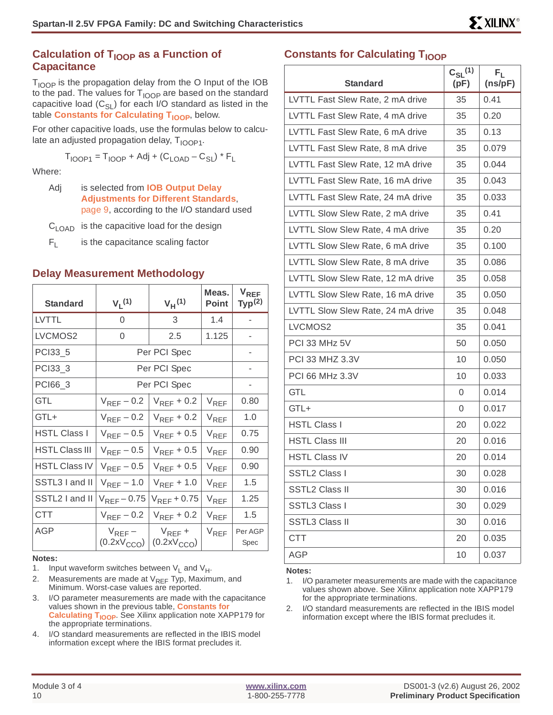## **Calculation of T<sub>IOOP</sub> as a Function of Capacitance**

 $T<sub>IOOP</sub>$  is the propagation delay from the O Input of the IOB to the pad. The values for  $T_{\text{IOOP}}$  are based on the standard capacitive load  $(C_{SL})$  for each I/O standard as listed in the table **Constants for Calculating T<sub>IOOP</sub>**, below.

For other capacitive loads, use the formulas below to calculate an adjusted propagation delay,  $T_{100P1}$ .

$$
T_{\text{IOOP1}} = T_{\text{IOOP}} + \text{Adj} + (C_{\text{LOAD}} - C_{\text{SL}}) \cdot F_{\text{L}}
$$

Where:

Adj is selected from **[IOB Output Delay](#page-8-0) [Adjustments for Different Standards](#page-8-0)**, [page 9](#page-8-0), according to the I/O standard used

 $C<sub>LOAD</sub>$  is the capacitive load for the design

 $F_1$  is the capacitance scaling factor

### <span id="page-9-1"></span>**Delay Measurement Methodology**

| <b>Standard</b>       | $V_1(1)$                               | $V_H(1)$                       | Meas.<br><b>Point</b> | <b>V<sub>REF</sub></b><br>Typ <sup>(2)</sup> |
|-----------------------|----------------------------------------|--------------------------------|-----------------------|----------------------------------------------|
| <b>LVTTL</b>          | $\Omega$                               | 3                              | 1.4                   |                                              |
| LVCMOS2               | 0                                      | 2.5                            | 1.125                 | ۰                                            |
| PCI33_5               |                                        | Per PCI Spec                   |                       |                                              |
| PCI33_3               |                                        | Per PCI Spec                   |                       |                                              |
| PCI66_3               |                                        | Per PCI Spec                   |                       | ٠                                            |
| <b>GTL</b>            | $V_{REF}$ – 0.2                        | $V_{REF}$ + 0.2                | $V_{REF}$             | 0.80                                         |
| GTL+                  | $V_{REF}$ – 0.2                        | $V_{REF}$ + 0.2                | $V_{RFF}$             | 1.0                                          |
| <b>HSTL Class I</b>   | $V_{REF}$ – 0.5                        | $V_{REF}$ + 0.5                | $V_{RFF}$             | 0.75                                         |
| <b>HSTL Class III</b> | $V_{REF}$ – 0.5                        | $V_{RFF}$ + 0.5                | $V_{RFF}$             | 0.90                                         |
| <b>HSTL Class IV</b>  | $V_{REF}$ – 0.5                        | $V_{REF}$ + 0.5                | $V_{REF}$             | 0.90                                         |
| SSTL3 I and II        | $V_{REF}$ – 1.0                        | $V_{REF}$ + 1.0                | $V_{RFF}$             | 1.5                                          |
| SSTL2 I and II        | $V_{REF}$ – 0.75                       | $V_{REF}$ + 0.75               | $V_{RFF}$             | 1.25                                         |
| <b>CTT</b>            | $V_{REF}$ – 0.2                        | $V_{REF}$ + 0.2                | $V_{RFF}$             | 1.5                                          |
| AGP                   | $V_{REF}$ –<br>(0.2xV <sub>CCO</sub> ) | $V_{REF}$ +<br>$(0.2xV_{CCO})$ | $V_{REF}$             | Per AGP<br>Spec                              |

#### **Notes:**

1. Input waveform switches between  $V_1$  and  $V_H$ .

2. Measurements are made at  $V_{REF}$  Typ, Maximum, and Minimum. Worst-case values are reported.

- 3. I/O parameter measurements are made with the capacitance values shown in the previous table, **[Constants for](#page-9-0) Calculating T<sub>IOOP</sub>.** See Xilinx application note XAPP179 for the appropriate terminations.
- 4. I/O standard measurements are reflected in the IBIS model information except where the IBIS format precludes it.

## <span id="page-9-0"></span>**Constants for Calculating T<sub>IOOP</sub>**

| <b>Standard</b>                   | $C_{SL}^{(1)}$<br>(pF) | $\mathsf{F}_\mathsf{L}$<br>(ns/pF) |
|-----------------------------------|------------------------|------------------------------------|
| LVTTL Fast Slew Rate, 2 mA drive  | 35                     | 0.41                               |
| LVTTL Fast Slew Rate, 4 mA drive  | 35                     | 0.20                               |
| LVTTL Fast Slew Rate, 6 mA drive  | 35                     | 0.13                               |
| LVTTL Fast Slew Rate, 8 mA drive  | 35                     | 0.079                              |
| LVTTL Fast Slew Rate, 12 mA drive | 35                     | 0.044                              |
| LVTTL Fast Slew Rate, 16 mA drive | 35                     | 0.043                              |
| LVTTL Fast Slew Rate, 24 mA drive | 35                     | 0.033                              |
| LVTTL Slow Slew Rate, 2 mA drive  | 35                     | 0.41                               |
| LVTTL Slow Slew Rate, 4 mA drive  | 35                     | 0.20                               |
| LVTTL Slow Slew Rate, 6 mA drive  | 35                     | 0.100                              |
| LVTTL Slow Slew Rate, 8 mA drive  | 35                     | 0.086                              |
| LVTTL Slow Slew Rate, 12 mA drive | 35                     | 0.058                              |
| LVTTL Slow Slew Rate, 16 mA drive | 35                     | 0.050                              |
| LVTTL Slow Slew Rate, 24 mA drive | 35                     | 0.048                              |
| LVCMOS2                           | 35                     | 0.041                              |
| PCI 33 MHz 5V                     | 50                     | 0.050                              |
| <b>PCI 33 MHZ 3.3V</b>            | 10                     | 0.050                              |
| PCI 66 MHz 3.3V                   | 10                     | 0.033                              |
| GTL                               | 0                      | 0.014                              |
| GTL+                              | 0                      | 0.017                              |
| <b>HSTL Class I</b>               | 20                     | 0.022                              |
| <b>HSTL Class III</b>             | 20                     | 0.016                              |
| <b>HSTL Class IV</b>              | 20                     | 0.014                              |
| SSTL2 Class I                     | 30                     | 0.028                              |
| <b>SSTL2 Class II</b>             | 30                     | 0.016                              |
| SSTL3 Class I                     | 30                     | 0.029                              |
| SSTL3 Class II                    | 30                     | 0.016                              |
| CTT                               | 20                     | 0.035                              |
| AGP                               | 10                     | 0.037                              |

#### **Notes:**

- 1. I/O parameter measurements are made with the capacitance values shown above. See Xilinx application note XAPP179 for the appropriate terminations.
- 2. I/O standard measurements are reflected in the IBIS model information except where the IBIS format precludes it.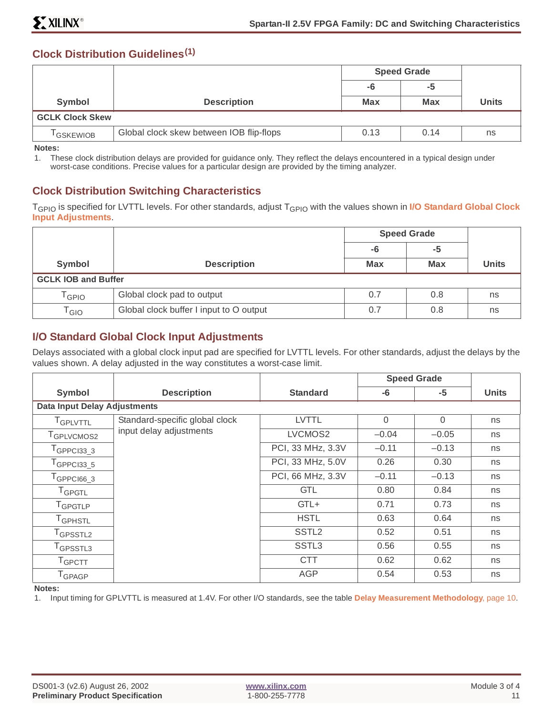## **Clock Distribution Guidelines(1)**

|                        |                                          | <b>Speed Grade</b> |            |              |
|------------------------|------------------------------------------|--------------------|------------|--------------|
|                        |                                          | -6<br>-5           |            |              |
| Symbol                 | <b>Description</b>                       | <b>Max</b>         | <b>Max</b> | <b>Units</b> |
| <b>GCLK Clock Skew</b> |                                          |                    |            |              |
| <sup>I</sup> GSKEWIOB  | Global clock skew between IOB flip-flops | 0.13               | 0.14       | ns           |

**Notes:**

1. These clock distribution delays are provided for guidance only. They reflect the delays encountered in a typical design under worst-case conditions. Precise values for a particular design are provided by the timing analyzer.

## **Clock Distribution Switching Characteristics**

T<sub>GPIO</sub> is specified for LVTTL levels. For other standards, adjust T<sub>GPIO</sub> with the values shown in [I/O Standard Global Clock](#page-10-0) **[Input Adjustments](#page-10-0)**.

|                             |                                         | <b>Speed Grade</b> |            |              |
|-----------------------------|-----------------------------------------|--------------------|------------|--------------|
|                             |                                         | -5<br>-6           |            |              |
| Symbol                      | <b>Description</b>                      | <b>Max</b>         | <b>Max</b> | <b>Units</b> |
| <b>GCLK IOB and Buffer</b>  |                                         |                    |            |              |
| 「GPIO                       | Global clock pad to output              | 0.7                | 0.8        | ns           |
| $\mathsf{r}_{\mathsf{GIO}}$ | Global clock buffer I input to O output | 0.7                | 0.8        | ns           |

## <span id="page-10-0"></span>**I/O Standard Global Clock Input Adjustments**

Delays associated with a global clock input pad are specified for LVTTL levels. For other standards, adjust the delays by the values shown. A delay adjusted in the way constitutes a worst-case limit.

|                                     |                                |                   | <b>Speed Grade</b> |          |              |
|-------------------------------------|--------------------------------|-------------------|--------------------|----------|--------------|
| Symbol                              | <b>Description</b>             | <b>Standard</b>   | -6                 | $-5$     | <b>Units</b> |
| <b>Data Input Delay Adjustments</b> |                                |                   |                    |          |              |
| T <sub>GPLVTTL</sub>                | Standard-specific global clock | <b>LVTTL</b>      | $\Omega$           | $\Omega$ | ns           |
| T <sub>GPLVCMOS2</sub>              | input delay adjustments        | LVCMOS2           | $-0.04$            | $-0.05$  | ns           |
| $T_{\text{GPPCl}33\_3}$             |                                | PCI, 33 MHz, 3.3V | $-0.11$            | $-0.13$  | ns           |
| $T_{\rm GPPC133\_5}$                |                                | PCI, 33 MHz, 5.0V | 0.26               | 0.30     | ns           |
| $TGPPCI66_3$                        |                                | PCI, 66 MHz, 3.3V | $-0.11$            | $-0.13$  | ns           |
| $T_{\sf GPGTL}$                     |                                | <b>GTL</b>        | 0.80               | 0.84     | ns           |
| TGPGTLP                             |                                | GTL+              | 0.71               | 0.73     | ns           |
| <b>T</b> GPHSTL                     |                                | <b>HSTL</b>       | 0.63               | 0.64     | ns           |
| T <sub>GPSSTL2</sub>                |                                | SSTL <sub>2</sub> | 0.52               | 0.51     | ns           |
| $\mathsf{T}_{\mathsf{GPSSTL3}}$     |                                | SSTL <sub>3</sub> | 0.56               | 0.55     | ns           |
| $T_{\rm GPCTT}$                     |                                | <b>CTT</b>        | 0.62               | 0.62     | ns           |
| T <sub>GPAGP</sub>                  |                                | <b>AGP</b>        | 0.54               | 0.53     | ns           |

**Notes:**

1. Input timing for GPLVTTL is measured at 1.4V. For other I/O standards, see the table **[Delay Measurement Methodology](#page-9-1)**, page 10.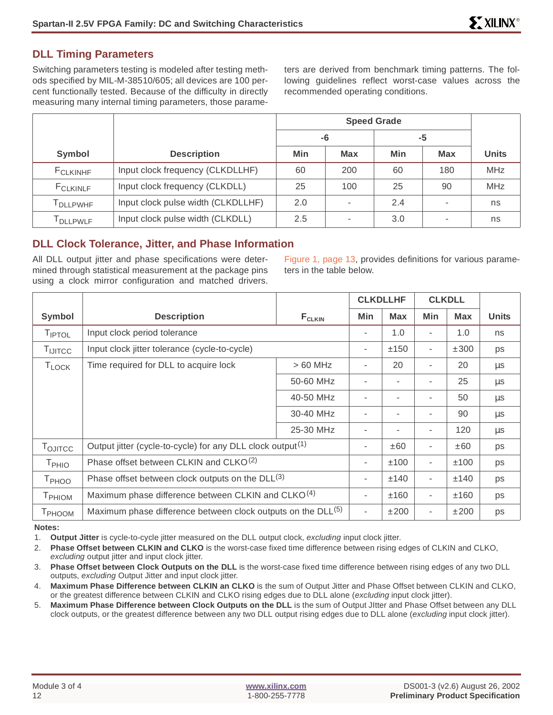### **DLL Timing Parameters**

Switching parameters testing is modeled after testing methods specified by MIL-M-38510/605; all devices are 100 percent functionally tested. Because of the difficulty in directly measuring many internal timing parameters, those parame-

ters are derived from benchmark timing patterns. The following guidelines reflect worst-case values across the recommended operating conditions.

|                      |                                    | <b>Speed Grade</b> |            |     |                          |              |
|----------------------|------------------------------------|--------------------|------------|-----|--------------------------|--------------|
|                      |                                    | -6                 |            |     | -5                       |              |
| Symbol               | <b>Description</b>                 | Min                | <b>Max</b> | Min | <b>Max</b>               | <b>Units</b> |
| <b>F</b> CLKINHF     | Input clock frequency (CLKDLLHF)   | 60                 | 200        | 60  | 180                      | <b>MHz</b>   |
| F <sub>CLKINLF</sub> | Input clock frequency (CLKDLL)     | 25                 | 100        | 25  | 90                       | <b>MHz</b>   |
| <b>T</b> DLLPWHF     | Input clock pulse width (CLKDLLHF) | 2.0                | ٠          | 2.4 | $\overline{\phantom{a}}$ | ns           |
| <b>DLLPWLF</b>       | Input clock pulse width (CLKDLL)   | 2.5                | ٠          | 3.0 | ۰                        | ns           |

## **DLL Clock Tolerance, Jitter, and Phase Information**

All DLL output jitter and phase specifications were determined through statistical measurement at the package pins using a clock mirror configuration and matched drivers.

[Figure 1, page 13,](#page-12-0) provides definitions for various parameters in the table below.

|                     |                                                                          |             |                | <b>CLKDLLHF</b> |     | <b>CLKDLL</b> |              |
|---------------------|--------------------------------------------------------------------------|-------------|----------------|-----------------|-----|---------------|--------------|
| Symbol              | <b>Description</b>                                                       | $F_{CLKIN}$ | Min            | <b>Max</b>      | Min | <b>Max</b>    | <b>Units</b> |
| TIPTOL              | Input clock period tolerance                                             |             |                | 1.0             |     | 1.0           | ns           |
| TIJITCC             | Input clock jitter tolerance (cycle-to-cycle)                            |             | $\overline{a}$ | ±150            |     | ±300          | ps           |
| <b>TLOCK</b>        | Time required for DLL to acquire lock                                    | $>60$ MHz   | ۰              | 20              | ٠   | 20            | $\mu$ s      |
|                     |                                                                          | 50-60 MHz   |                |                 |     | 25            | $\mu$ s      |
|                     |                                                                          | 40-50 MHz   | ٠              |                 |     | 50            | $\mu s$      |
|                     |                                                                          | 30-40 MHz   |                |                 |     | 90            | $\mu$ s      |
|                     |                                                                          | 25-30 MHz   | ۰              |                 |     | 120           | $\mu$ s      |
| T <sub>OJITCC</sub> | Output jitter (cycle-to-cycle) for any DLL clock output <sup>(1)</sup>   |             | ٠              | ±60             | ۰   | ±60           | ps           |
| $T_{PHIO}$          | Phase offset between CLKIN and CLKO <sup>(2)</sup>                       |             | ٠              | ±100            | ۰   | ±100          | ps           |
| T <sub>PHOO</sub>   | Phase offset between clock outputs on the DLL(3)                         |             | -              | ±140            | ٠   | ±140          | ps           |
| T <sub>PHIOM</sub>  | Maximum phase difference between CLKIN and CLKO <sup>(4)</sup>           |             | ٠              | ±160            | ٠   | ±160          | ps           |
| T <sub>PHOOM</sub>  | Maximum phase difference between clock outputs on the DLL <sup>(5)</sup> |             | ÷              | ±200            |     | ±200          | ps           |

**Notes:**

1. **Output Jitter** is cycle-to-cycle jitter measured on the DLL output clock, excluding input clock jitter.

2. **Phase Offset between CLKIN and CLKO** is the worst-case fixed time difference between rising edges of CLKIN and CLKO, excluding output jitter and input clock jitter.

3. **Phase Offset between Clock Outputs on the DLL** is the worst-case fixed time difference between rising edges of any two DLL outputs, excluding Output Jitter and input clock jitter.

4. **Maximum Phase Difference between CLKIN an CLKO** is the sum of Output Jitter and Phase Offset between CLKIN and CLKO, or the greatest difference between CLKIN and CLKO rising edges due to DLL alone (excluding input clock jitter).

5. **Maximum Phase Difference between Clock Outputs on the DLL** is the sum of Output JItter and Phase Offset between any DLL clock outputs, or the greatest difference between any two DLL output rising edges due to DLL alone (excluding input clock jitter).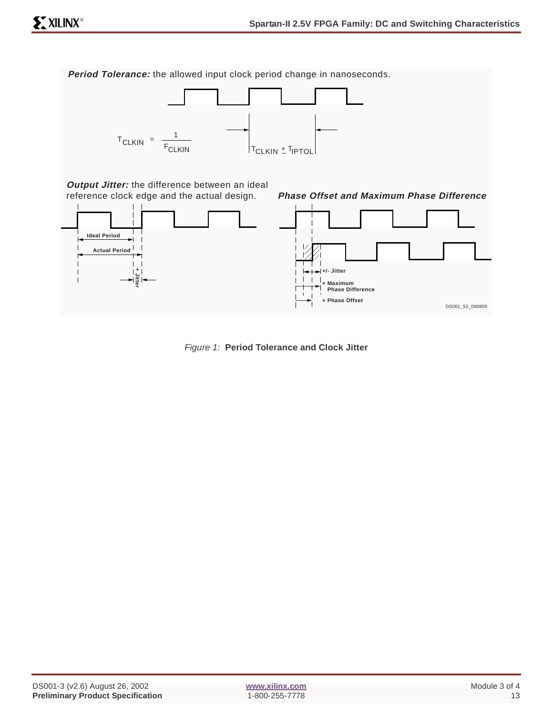<span id="page-12-0"></span>**Period Tolerance:** the allowed input clock period change in nanoseconds.



**Output Jitter:** the difference between an ideal reference clock edge and the actual design.



Figure 1: **Period Tolerance and Clock Jitter**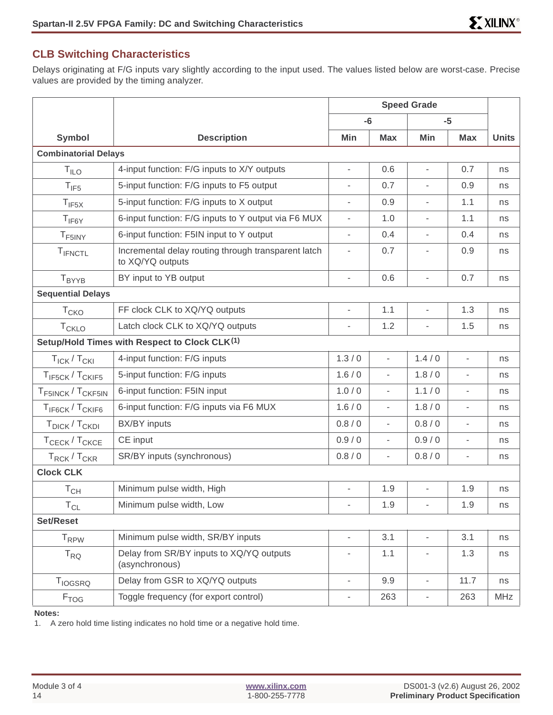### **CLB Switching Characteristics**

Delays originating at F/G inputs vary slightly according to the input used. The values listed below are worst-case. Precise values are provided by the timing analyzer.

|                                           |                                                                         | <b>Speed Grade</b>           |                          |                              |                          |              |
|-------------------------------------------|-------------------------------------------------------------------------|------------------------------|--------------------------|------------------------------|--------------------------|--------------|
|                                           |                                                                         | $-6$                         |                          | $-5$                         |                          |              |
| Symbol                                    | <b>Description</b>                                                      | Min                          | <b>Max</b>               | Min                          | <b>Max</b>               | <b>Units</b> |
| <b>Combinatorial Delays</b>               |                                                                         |                              |                          |                              |                          |              |
| $T_{ILO}$                                 | 4-input function: F/G inputs to X/Y outputs                             | L,                           | 0.6                      | L,                           | 0.7                      | ns           |
| $T_{IF5}$                                 | 5-input function: F/G inputs to F5 output                               | $\overline{\phantom{a}}$     | 0.7                      | $\overline{\phantom{a}}$     | 0.9                      | ns           |
| $T_{IF5X}$                                | 5-input function: F/G inputs to X output                                | $\overline{a}$               | 0.9                      |                              | 1.1                      | ns           |
| $T_{IF6Y}$                                | 6-input function: F/G inputs to Y output via F6 MUX                     | $\overline{\phantom{a}}$     | 1.0                      | $\overline{\phantom{a}}$     | 1.1                      | ns           |
| T <sub>F5INY</sub>                        | 6-input function: F5IN input to Y output                                | $\overline{\phantom{a}}$     | 0.4                      |                              | 0.4                      | ns           |
| TIFNCTL                                   | Incremental delay routing through transparent latch<br>to XQ/YQ outputs | $\overline{\phantom{a}}$     | 0.7                      |                              | 0.9                      | ns           |
| T <sub>BYYB</sub>                         | BY input to YB output                                                   | L,                           | 0.6                      | L,                           | 0.7                      | ns           |
| <b>Sequential Delays</b>                  |                                                                         |                              |                          |                              |                          |              |
| T <sub>CKO</sub>                          | FF clock CLK to XQ/YQ outputs                                           | ÷,                           | 1.1                      | ÷,                           | 1.3                      | ns           |
| T <sub>CKLO</sub>                         | Latch clock CLK to XQ/YQ outputs                                        | $\overline{\phantom{a}}$     | 1.2                      | $\overline{a}$               | 1.5                      | ns           |
|                                           | Setup/Hold Times with Respect to Clock CLK <sup>(1)</sup>               |                              |                          |                              |                          |              |
| $T_{\text{ICK}}/T_{\text{CKI}}$           | 4-input function: F/G inputs                                            | 1.3/0                        | $\overline{\phantom{a}}$ | 1.4/0                        | $\overline{\phantom{a}}$ | ns           |
| T <sub>IF5CK</sub> /T <sub>CKIF5</sub>    | 5-input function: F/G inputs                                            | 1.6/0                        | $\overline{\phantom{a}}$ | 1.8/0                        |                          | ns           |
| T <sub>F5INCK</sub> / T <sub>CKF5IN</sub> | 6-input function: F5IN input                                            | 1.0/0                        | $\overline{\phantom{a}}$ | 1.1/0                        | $\overline{a}$           | ns           |
| T <sub>IF6CK</sub> /T <sub>CKIF6</sub>    | 6-input function: F/G inputs via F6 MUX                                 | 1.6/0                        | $\overline{\phantom{a}}$ | 1.8/0                        |                          | ns           |
| T <sub>DICK</sub> /T <sub>CKDI</sub>      | BX/BY inputs                                                            | 0.8 / 0                      | $\overline{\phantom{a}}$ | 0.8/0                        | $\overline{a}$           | ns           |
| T <sub>CECK</sub> /T <sub>CKCE</sub>      | CE input                                                                | 0.9/0                        | ÷,                       | 0.9/0                        |                          | ns           |
| $T_{RCK}$ / $T_{CKR}$                     | SR/BY inputs (synchronous)                                              | 0.8 / 0                      | $\overline{\phantom{a}}$ | 0.8/0                        | $\overline{\phantom{a}}$ | ns           |
| <b>Clock CLK</b>                          |                                                                         |                              |                          |                              |                          |              |
| $T_{CH}$                                  | Minimum pulse width, High                                               | $\overline{\phantom{0}}$     | 1.9                      | $\overline{\phantom{a}}$     | 1.9                      | ns           |
| $\mathsf{T}_{\mathsf{CL}}$                | Minimum pulse width, Low                                                | $\overline{\phantom{a}}$     | 1.9                      | $\overline{\phantom{a}}$     | 1.9                      | ns           |
| Set/Reset                                 |                                                                         |                              |                          |                              |                          |              |
| <b>T</b> <sub>RPW</sub>                   | Minimum pulse width, SR/BY inputs                                       | $\qquad \qquad \blacksquare$ | 3.1                      | $\overline{\phantom{a}}$     | 3.1                      | ns           |
| $T_{RQ}$                                  | Delay from SR/BY inputs to XQ/YQ outputs<br>(asynchronous)              | ÷,                           | 1.1                      |                              | 1.3                      | ns           |
| <b>T</b> <sub>IOGSRQ</sub>                | Delay from GSR to XQ/YQ outputs                                         | $\overline{\phantom{a}}$     | 9.9                      | $\overline{\phantom{a}}$     | 11.7                     | ns           |
| <b>F</b> TOG                              | Toggle frequency (for export control)                                   | $\overline{\phantom{0}}$     | 263                      | $\qquad \qquad \blacksquare$ | 263                      | MHz          |

#### **Notes:**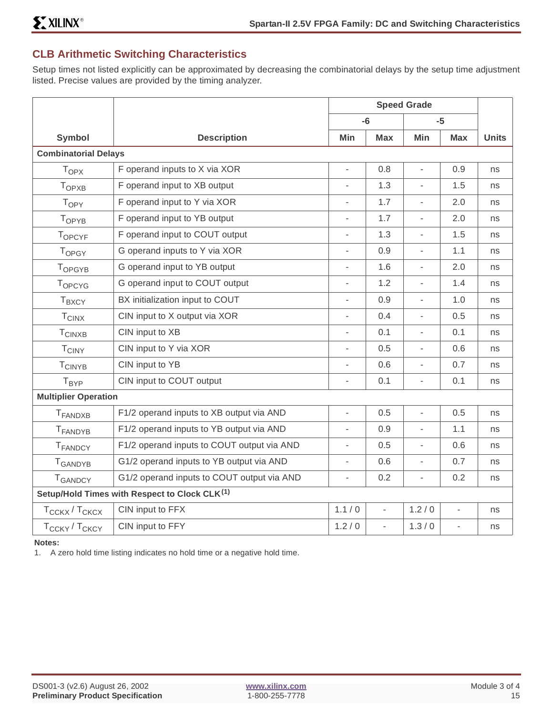## **CLB Arithmetic Switching Characteristics**

Setup times not listed explicitly can be approximated by decreasing the combinatorial delays by the setup time adjustment listed. Precise values are provided by the timing analyzer.

|                                       |                                               | <b>Speed Grade</b>       |                          |                              |                          |              |
|---------------------------------------|-----------------------------------------------|--------------------------|--------------------------|------------------------------|--------------------------|--------------|
|                                       |                                               |                          | $-6$                     |                              | $-5$                     |              |
| <b>Symbol</b>                         | <b>Description</b>                            | <b>Min</b>               | <b>Max</b>               | Min                          | <b>Max</b>               | <b>Units</b> |
| <b>Combinatorial Delays</b>           |                                               |                          |                          |                              |                          |              |
| $T_{OPX}$                             | F operand inputs to X via XOR                 | $\overline{\phantom{a}}$ | 0.8                      | $\overline{\phantom{a}}$     | 0.9                      | ns           |
| $T_{OPXB}$                            | F operand input to XB output                  | $\overline{\phantom{a}}$ | 1.3                      | L.                           | 1.5                      | ns           |
| T <sub>OPY</sub>                      | F operand input to Y via XOR                  | $\frac{1}{2}$            | 1.7                      | ٠                            | 2.0                      | ns           |
| TOPYB                                 | F operand input to YB output                  | $\overline{\phantom{a}}$ | 1.7                      | $\overline{a}$               | 2.0                      | ns           |
| TOPCYF                                | F operand input to COUT output                | $\blacksquare$           | 1.3                      | $\qquad \qquad \blacksquare$ | 1.5                      | ns           |
| TOPGY                                 | G operand inputs to Y via XOR                 | $\frac{1}{2}$            | 0.9                      | $\overline{\phantom{a}}$     | 1.1                      | ns           |
| TOPGYB                                | G operand input to YB output                  | $\overline{\phantom{0}}$ | 1.6                      | $\overline{\phantom{a}}$     | 2.0                      | ns           |
| TOPCYG                                | G operand input to COUT output                | $\overline{\phantom{0}}$ | 1.2                      | ÷,                           | 1.4                      | ns           |
| <b>TBXCY</b>                          | BX initialization input to COUT               | $\blacksquare$           | 0.9                      | $\blacksquare$               | 1.0                      | ns           |
| <b>TCINX</b>                          | CIN input to X output via XOR                 | $\overline{\phantom{a}}$ | 0.4                      | $\overline{\phantom{m}}$     | 0.5                      | ns           |
| <b>TCINXB</b>                         | CIN input to XB                               | $\overline{\phantom{a}}$ | 0.1                      | $\overline{\phantom{m}}$     | 0.1                      | ns           |
| <b>TCINY</b>                          | CIN input to Y via XOR                        | $\overline{a}$           | 0.5                      | $\overline{\phantom{a}}$     | 0.6                      | ns           |
| <b>TCINYB</b>                         | CIN input to YB                               | $\overline{\phantom{0}}$ | 0.6                      | $\overline{\phantom{0}}$     | 0.7                      | ns           |
| T <sub>BYP</sub>                      | CIN input to COUT output                      | $\overline{\phantom{0}}$ | 0.1                      | $\qquad \qquad \blacksquare$ | 0.1                      | ns           |
| <b>Multiplier Operation</b>           |                                               |                          |                          |                              |                          |              |
| <b>T</b> FANDXB                       | F1/2 operand inputs to XB output via AND      | $\overline{\phantom{a}}$ | 0.5                      | $\frac{1}{2}$                | 0.5                      | ns           |
| <b>T</b> FANDYB                       | F1/2 operand inputs to YB output via AND      | $\overline{\phantom{a}}$ | 0.9                      | $\overline{\phantom{a}}$     | 1.1                      | ns           |
| <b>T</b> FANDCY                       | F1/2 operand inputs to COUT output via AND    | $\overline{\phantom{a}}$ | 0.5                      | $\overline{\phantom{m}}$     | 0.6                      | ns           |
| T <sub>GANDYB</sub>                   | G1/2 operand inputs to YB output via AND      | $\overline{\phantom{a}}$ | 0.6                      | $\overline{\phantom{a}}$     | 0.7                      | ns           |
| <b>T</b> GANDCY                       | G1/2 operand inputs to COUT output via AND    | $\overline{\phantom{a}}$ | 0.2                      | $\frac{1}{2}$                | 0.2                      | ns           |
|                                       | Setup/Hold Times with Respect to Clock CLK(1) |                          |                          |                              |                          |              |
| T <sub>CCKX</sub> /T <sub>CKCX</sub>  | CIN input to FFX                              | 1.1/0                    | $\overline{\phantom{a}}$ | 1.2/0                        | $\blacksquare$           | ns           |
| T <sub>CCKY</sub> / T <sub>CKCY</sub> | CIN input to FFY                              | 1.2/0                    | $\overline{\phantom{a}}$ | 1.3/0                        | $\overline{\phantom{a}}$ | ns           |

**Notes:**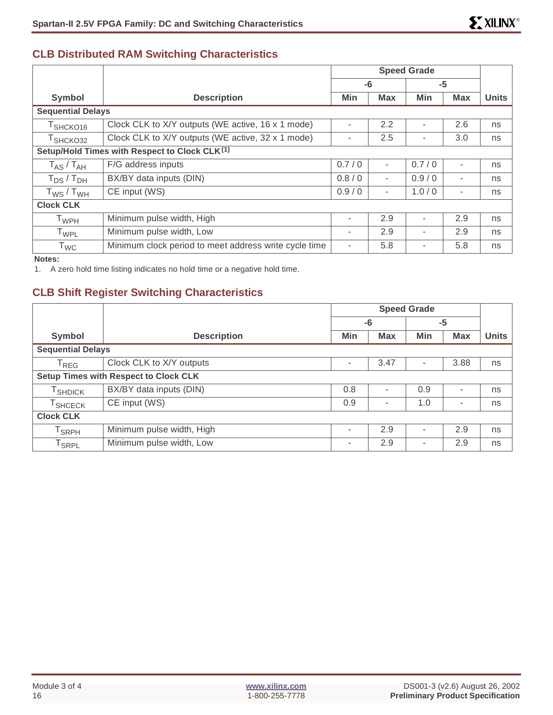## **CLB Distributed RAM Switching Characteristics**

|                             |                                                       | <b>Speed Grade</b>       |                          |       |                          |              |
|-----------------------------|-------------------------------------------------------|--------------------------|--------------------------|-------|--------------------------|--------------|
|                             |                                                       | -6                       |                          |       | -5                       |              |
| <b>Symbol</b>               | <b>Description</b>                                    | Min                      | <b>Max</b>               | Min   | <b>Max</b>               | <b>Units</b> |
| <b>Sequential Delays</b>    |                                                       |                          |                          |       |                          |              |
| $T$ SHCKO16                 | Clock CLK to X/Y outputs (WE active, 16 x 1 mode)     |                          | 2.2                      |       | 2.6                      | ns           |
| T <sub>SHCKO32</sub>        | Clock CLK to X/Y outputs (WE active, 32 x 1 mode)     | ۰                        | 2.5                      |       | 3.0                      | ns           |
|                             | Setup/Hold Times with Respect to Clock CLK(1)         |                          |                          |       |                          |              |
| $T_{AS}$ / $T_{AH}$         | F/G address inputs                                    | 0.7/0                    | $\overline{\phantom{a}}$ | 0.7/0 |                          | ns           |
| $T_{DS}$ / $T_{DH}$         | BX/BY data inputs (DIN)                               | 0.8/0                    | $\overline{\phantom{a}}$ | 0.9/0 | $\overline{\phantom{a}}$ | ns           |
| $T_{WS}$ / $T_{WH}$         | CE input (WS)                                         | 0.9/0                    | $\overline{\phantom{a}}$ | 1.0/0 | $\overline{\phantom{a}}$ | ns           |
| <b>Clock CLK</b>            |                                                       |                          |                          |       |                          |              |
| $\mathsf{T}_{\mathsf{WPH}}$ | Minimum pulse width, High                             | ۰                        | 2.9                      |       | 2.9                      | ns           |
| T <sub>WPL</sub>            | Minimum pulse width, Low                              | ۰                        | 2.9                      |       | 2.9                      | ns           |
| <b>T</b> <sub>WC</sub>      | Minimum clock period to meet address write cycle time | $\overline{\phantom{a}}$ | 5.8                      |       | 5.8                      | ns           |

**Notes:**

1. A zero hold time listing indicates no hold time or a negative hold time.

## **CLB Shift Register Switching Characteristics**

|                              |                                              | <b>Speed Grade</b>       |            |     |                          |              |
|------------------------------|----------------------------------------------|--------------------------|------------|-----|--------------------------|--------------|
|                              |                                              | -6                       |            |     | $-5$                     |              |
| Symbol                       | <b>Description</b>                           | Min                      | <b>Max</b> | Min | <b>Max</b>               | <b>Units</b> |
| <b>Sequential Delays</b>     |                                              |                          |            |     |                          |              |
| $\mathsf{T}_{\mathsf{REG}}$  | Clock CLK to X/Y outputs                     | $\overline{\phantom{a}}$ | 3.47       | ٠   | 3.88                     | ns           |
|                              | <b>Setup Times with Respect to Clock CLK</b> |                          |            |     |                          |              |
| <b>T</b> SHDICK              | BX/BY data inputs (DIN)                      | 0.8                      |            | 0.9 |                          | ns           |
| T <sub>SHCECK</sub>          | CE input (WS)                                | 0.9                      | ۰          | 1.0 | $\overline{\phantom{a}}$ | ns           |
| <b>Clock CLK</b>             |                                              |                          |            |     |                          |              |
| ${\sf T}_{\sf SRPH}$         | Minimum pulse width, High                    | $\overline{\phantom{a}}$ | 2.9        |     | 2.9                      | ns           |
| $\mathsf{T}_{\mathsf{SRPL}}$ | Minimum pulse width, Low                     | $\overline{\phantom{a}}$ | 2.9        |     | 2.9                      | ns           |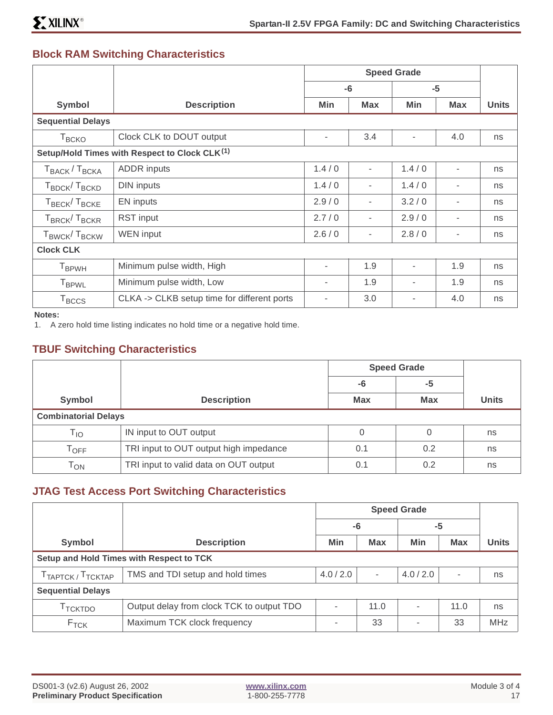## **Block RAM Switching Characteristics**

|                                                           |                                             | <b>Speed Grade</b> |                |            |                          |              |
|-----------------------------------------------------------|---------------------------------------------|--------------------|----------------|------------|--------------------------|--------------|
|                                                           |                                             | $-5$<br>-6         |                |            |                          |              |
| Symbol                                                    | <b>Description</b>                          | Min                | <b>Max</b>     | <b>Min</b> | <b>Max</b>               | <b>Units</b> |
| <b>Sequential Delays</b>                                  |                                             |                    |                |            |                          |              |
| $T_{\scriptstyle{\text{BCKO}}}$                           | Clock CLK to DOUT output                    | ٠                  | 3.4            | $\sim$     | 4.0                      | ns           |
| Setup/Hold Times with Respect to Clock CLK <sup>(1)</sup> |                                             |                    |                |            |                          |              |
| T <sub>BACK</sub> /T <sub>BCKA</sub>                      | <b>ADDR</b> inputs                          | 1.4/0              | $\overline{a}$ | 1.4/0      | $\overline{a}$           | ns           |
| T <sub>BDCK</sub> /T <sub>BCKD</sub>                      | <b>DIN</b> inputs                           | 1.4/0              |                | 1.4/0      | ۰                        | ns           |
| T <sub>BECK</sub> /T <sub>BCKE</sub>                      | <b>EN</b> inputs                            | 2.9/0              |                | 3.2/0      | ۰                        | ns           |
| T <sub>BRCK</sub> /T <sub>BCKR</sub>                      | <b>RST</b> input                            | 2.7/0              |                | 2.9/0      | ٠                        | ns           |
| T <sub>BWCK</sub> /T <sub>BCKW</sub>                      | <b>WEN</b> input                            | 2.6/0              | -              | 2.8/0      | $\overline{\phantom{a}}$ | ns           |
| <b>Clock CLK</b>                                          |                                             |                    |                |            |                          |              |
| <b>T</b> <sub>BPWH</sub>                                  | Minimum pulse width, High                   | ۰                  | 1.9            | $\sim$     | 1.9                      | ns           |
| <b>T</b> <sub>BPWL</sub>                                  | Minimum pulse width, Low                    |                    | 1.9            | ٠          | 1.9                      | ns           |
| $T_{\text{BCCS}}$                                         | CLKA -> CLKB setup time for different ports | 3.0                |                | 4.0        | ns                       |              |

**Notes:**

1. A zero hold time listing indicates no hold time or a negative hold time.

## **TBUF Switching Characteristics**

|                             |                                        |            | <b>Speed Grade</b> |              |  |
|-----------------------------|----------------------------------------|------------|--------------------|--------------|--|
|                             |                                        | -6         | -5                 |              |  |
| Symbol                      | <b>Description</b>                     | <b>Max</b> | <b>Max</b>         | <b>Units</b> |  |
| <b>Combinatorial Delays</b> |                                        |            |                    |              |  |
| $\mathsf{T}_{\mathsf{IO}}$  | IN input to OUT output<br>0            |            | 0                  | ns           |  |
| $\mathsf{T}_{\mathsf{OFF}}$ | TRI input to OUT output high impedance |            | 0.2                | ns           |  |
| Тол                         | TRI input to valid data on OUT output  |            | 0.2                | ns           |  |

## **JTAG Test Access Port Switching Characteristics**

|                                           |                                           |         |            | <b>Speed Grade</b>       |                          |              |
|-------------------------------------------|-------------------------------------------|---------|------------|--------------------------|--------------------------|--------------|
|                                           |                                           | -6      |            | -5                       |                          |              |
| Symbol                                    | <b>Description</b>                        | Min     | <b>Max</b> | Min                      | <b>Max</b>               | <b>Units</b> |
| Setup and Hold Times with Respect to TCK  |                                           |         |            |                          |                          |              |
| T <sub>TAPTCK</sub> / T <sub>TCKTAP</sub> | TMS and TDI setup and hold times          | 4.0/2.0 | $\sim$     | 4.0/2.0                  | $\overline{\phantom{a}}$ | ns           |
| <b>Sequential Delays</b>                  |                                           |         |            |                          |                          |              |
| <sup>1</sup> TCKTDO                       | Output delay from clock TCK to output TDO |         | 11.0       | $\overline{\phantom{a}}$ | 11.0                     | ns           |
| F <sub>TCK</sub>                          | Maximum TCK clock frequency               |         | 33         | $\overline{\phantom{a}}$ | 33                       | <b>MHz</b>   |